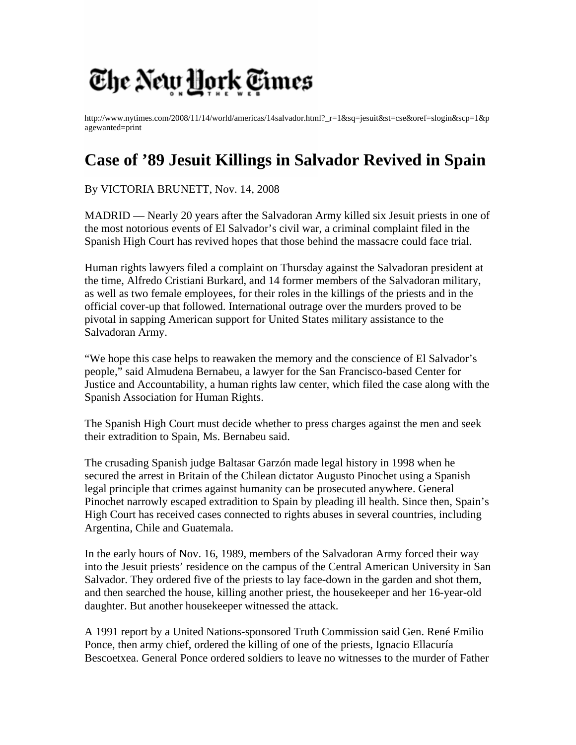## *Ehe New Hork Cimes*

http://www.nytimes.com/2008/11/14/world/americas/14salvador.html?\_r=1&sq=jesuit&st=cse&oref=slogin&scp=1&p agewanted=print

## **Case of '89 Jesuit Killings in Salvador Revived in Spain**

## By VICTORIA BRUNETT, Nov. 14, 2008

MADRID — Nearly 20 years after the Salvadoran Army killed six Jesuit priests in one of the most notorious events of El Salvador's civil war, a criminal complaint filed in the Spanish High Court has revived hopes that those behind the massacre could face trial.

Human rights lawyers filed a complaint on Thursday against the Salvadoran president at the time, Alfredo Cristiani Burkard, and 14 former members of the Salvadoran military, as well as two female employees, for their roles in the killings of the priests and in the official cover-up that followed. International outrage over the murders proved to be pivotal in sapping American support for United States military assistance to the Salvadoran Army.

"We hope this case helps to reawaken the memory and the conscience of El Salvador's people," said Almudena Bernabeu, a lawyer for the San Francisco-based Center for Justice and Accountability, a human rights law center, which filed the case along with the Spanish Association for Human Rights.

The Spanish High Court must decide whether to press charges against the men and seek their extradition to Spain, Ms. Bernabeu said.

The crusading Spanish judge Baltasar Garzón made legal history in 1998 when he secured the arrest in Britain of the Chilean dictator Augusto Pinochet using a Spanish legal principle that crimes against humanity can be prosecuted anywhere. General Pinochet narrowly escaped extradition to Spain by pleading ill health. Since then, Spain's High Court has received cases connected to rights abuses in several countries, including Argentina, Chile and Guatemala.

In the early hours of Nov. 16, 1989, members of the Salvadoran Army forced their way into the Jesuit priests' residence on the campus of the Central American University in San Salvador. They ordered five of the priests to lay face-down in the garden and shot them, and then searched the house, killing another priest, the housekeeper and her 16-year-old daughter. But another housekeeper witnessed the attack.

A 1991 report by a United Nations-sponsored Truth Commission said Gen. René Emilio Ponce, then army chief, ordered the killing of one of the priests, Ignacio Ellacuría Bescoetxea. General Ponce ordered soldiers to leave no witnesses to the murder of Father